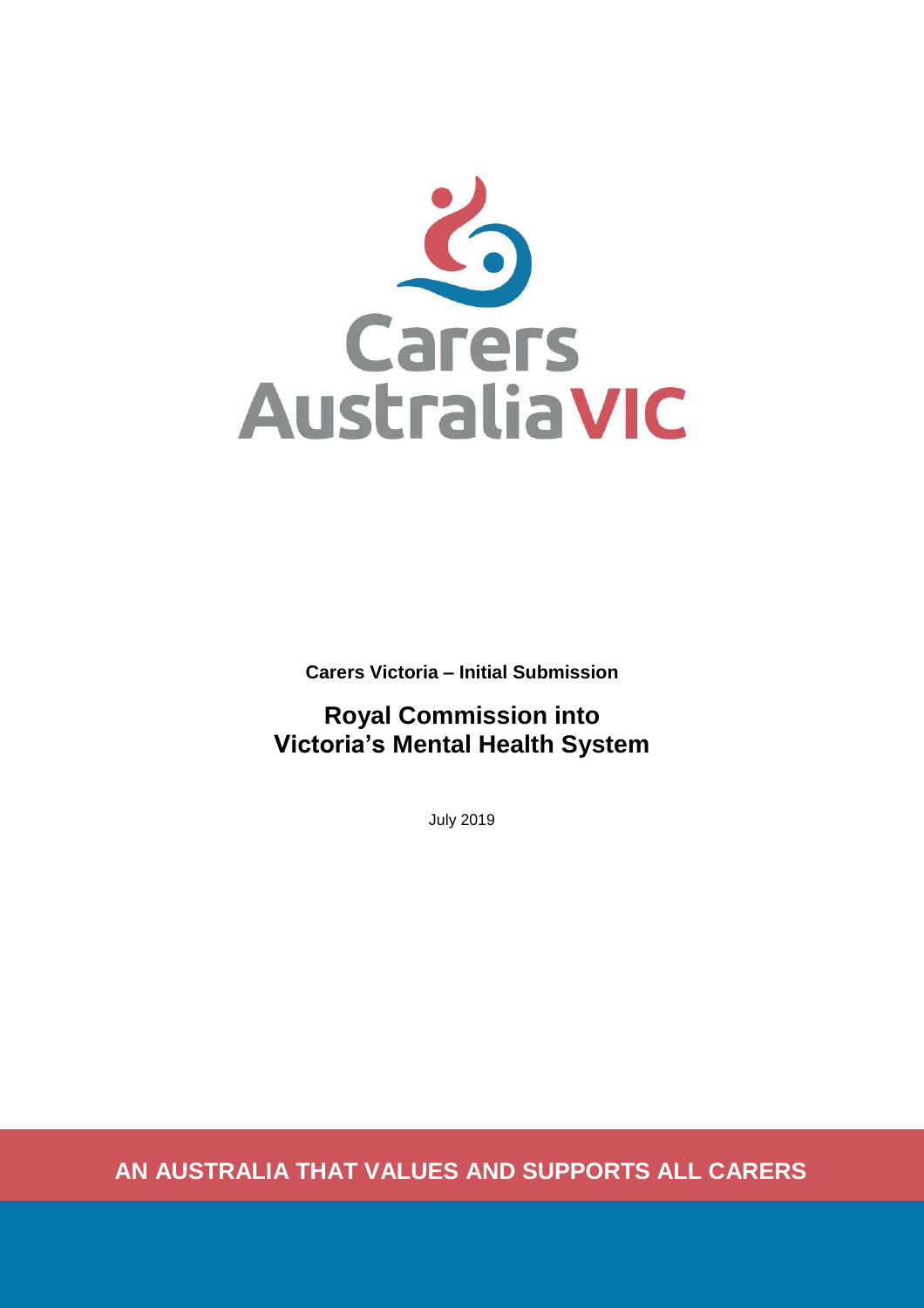

**Carers Victoria – Initial Submission**

# **Royal Commission into Victoria's Mental Health System**

July 2019

**AN AUSTRALIA THAT VALUES AND SUPPORTS ALL CARERS**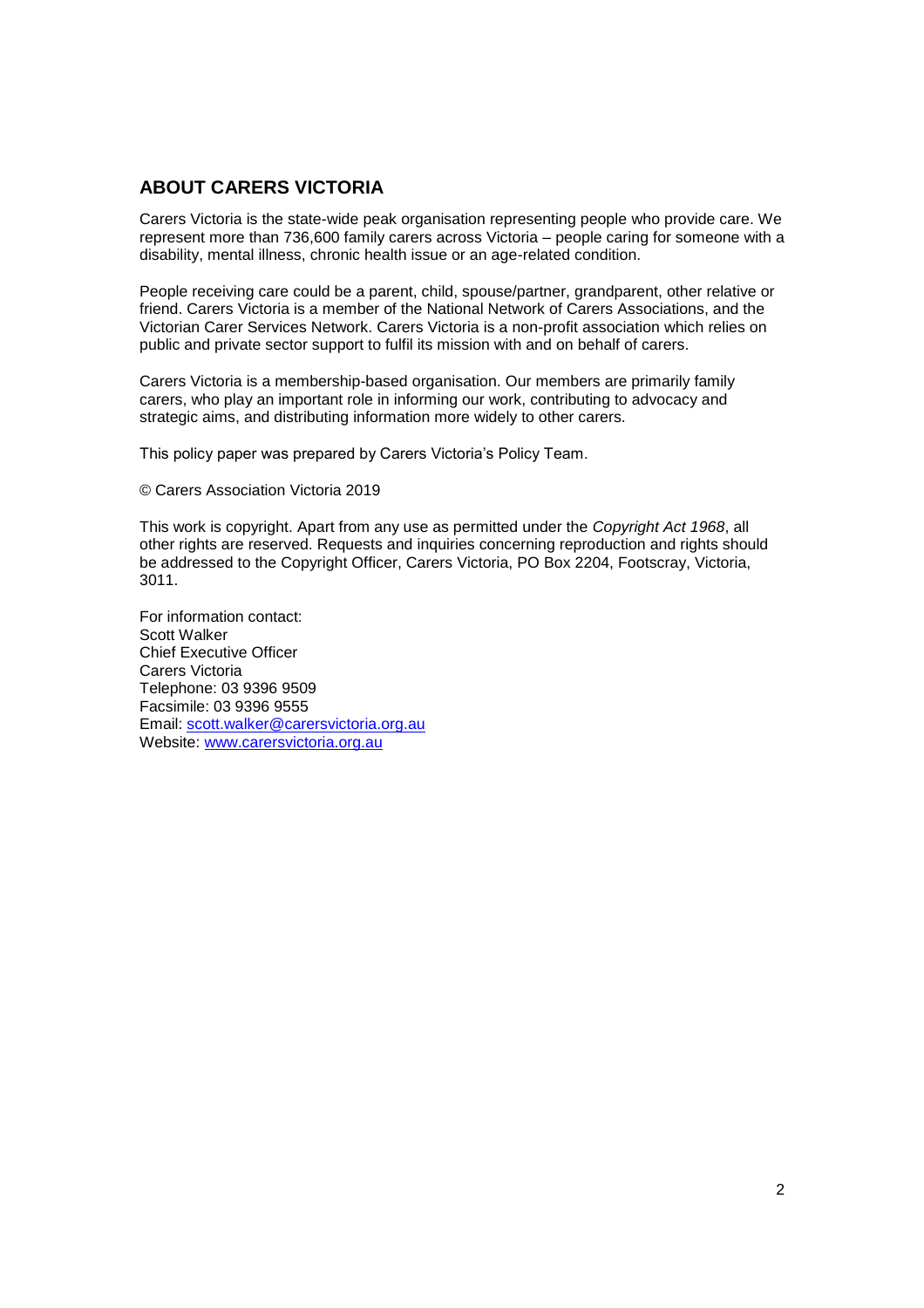# <span id="page-1-0"></span>**ABOUT CARERS VICTORIA**

Carers Victoria is the state-wide peak organisation representing people who provide care. We represent more than 736,600 family carers across Victoria – people caring for someone with a disability, mental illness, chronic health issue or an age-related condition.

People receiving care could be a parent, child, spouse/partner, grandparent, other relative or friend. Carers Victoria is a member of the National Network of Carers Associations, and the Victorian Carer Services Network. Carers Victoria is a non-profit association which relies on public and private sector support to fulfil its mission with and on behalf of carers.

Carers Victoria is a membership-based organisation. Our members are primarily family carers, who play an important role in informing our work, contributing to advocacy and strategic aims, and distributing information more widely to other carers.

This policy paper was prepared by Carers Victoria's Policy Team.

© Carers Association Victoria 2019

This work is copyright. Apart from any use as permitted under the *Copyright Act 1968*, all other rights are reserved. Requests and inquiries concerning reproduction and rights should be addressed to the Copyright Officer, Carers Victoria, PO Box 2204, Footscray, Victoria, 3011.

For information contact: Scott Walker Chief Executive Officer Carers Victoria Telephone: 03 9396 9509 Facsimile: 03 9396 9555 Email: [scott.walker@carersvictoria.org.au](mailto:scott.walker@carersvictoria.org.au) Website: [www.carersvictoria.org.au](http://www.carersvictoria.org.au/)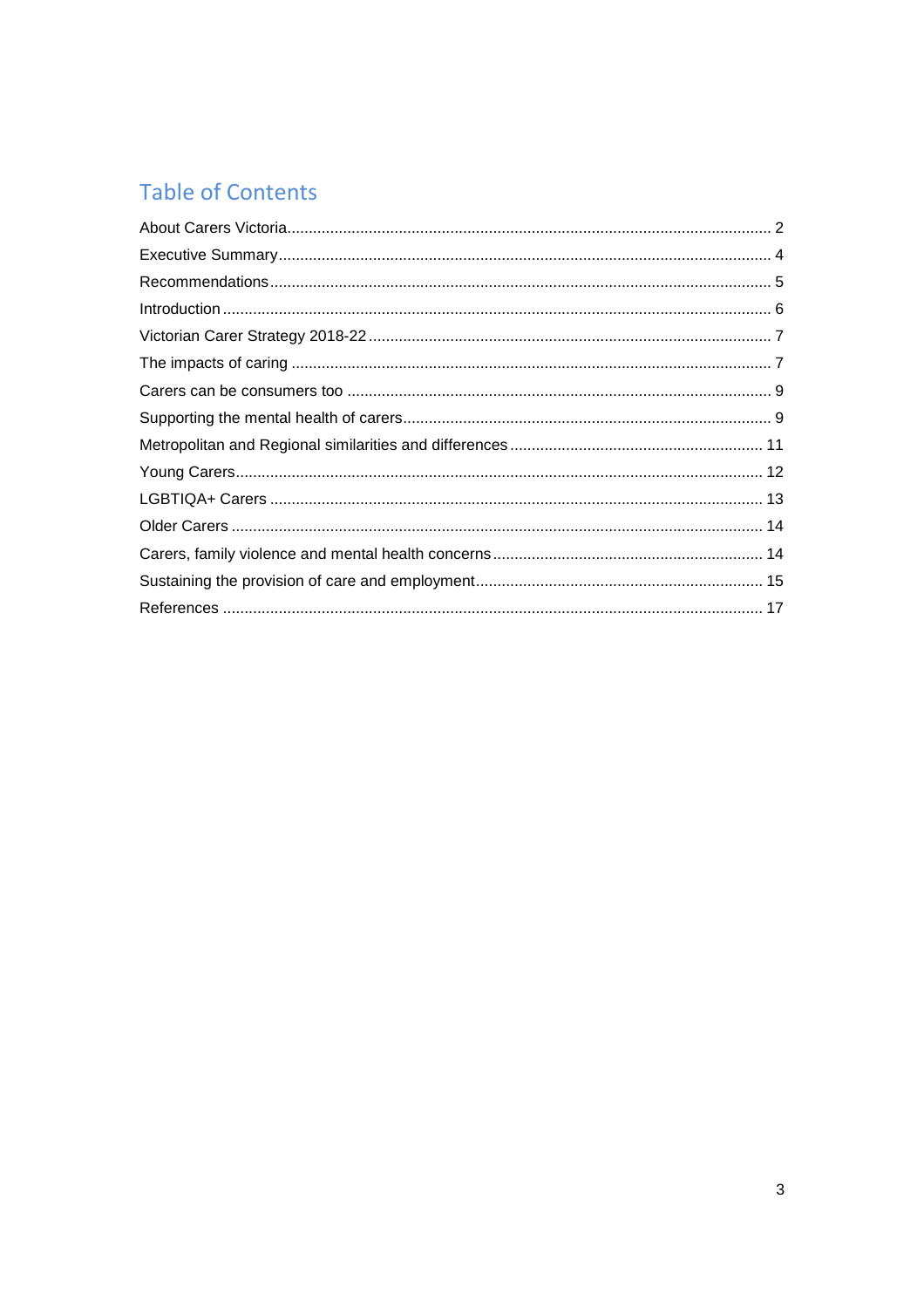# **Table of Contents**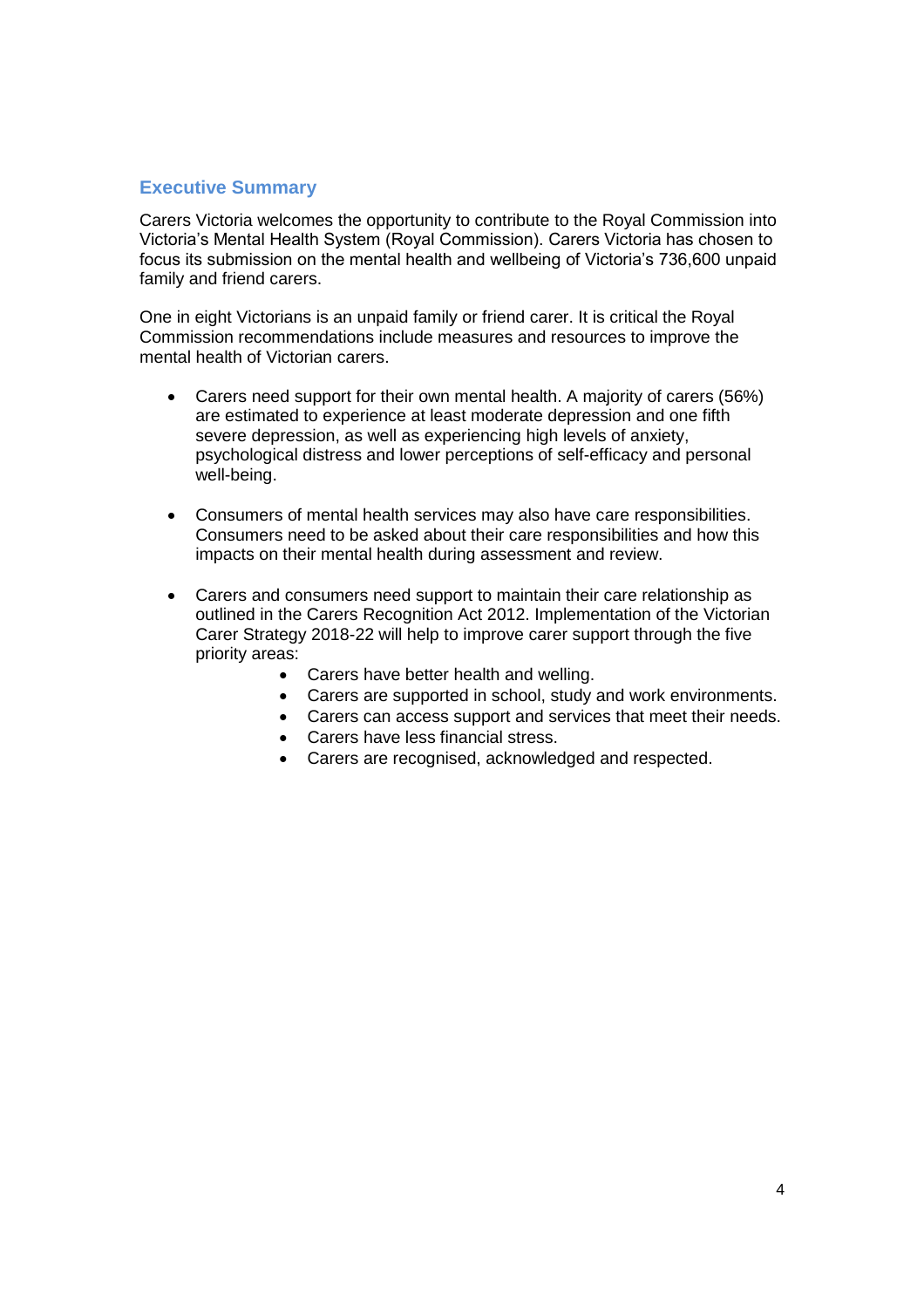# <span id="page-3-0"></span>**Executive Summary**

Carers Victoria welcomes the opportunity to contribute to the Royal Commission into Victoria's Mental Health System (Royal Commission). Carers Victoria has chosen to focus its submission on the mental health and wellbeing of Victoria's 736,600 unpaid family and friend carers.

One in eight Victorians is an unpaid family or friend carer. It is critical the Royal Commission recommendations include measures and resources to improve the mental health of Victorian carers.

- Carers need support for their own mental health. A majority of carers (56%) are estimated to experience at least moderate depression and one fifth severe depression, as well as experiencing high levels of anxiety, psychological distress and lower perceptions of self-efficacy and personal well-being.
- Consumers of mental health services may also have care responsibilities. Consumers need to be asked about their care responsibilities and how this impacts on their mental health during assessment and review.
- Carers and consumers need support to maintain their care relationship as outlined in the Carers Recognition Act 2012. Implementation of the Victorian Carer Strategy 2018-22 will help to improve carer support through the five priority areas:
	- Carers have better health and welling.
	- Carers are supported in school, study and work environments.
	- Carers can access support and services that meet their needs.
	- Carers have less financial stress.
	- Carers are recognised, acknowledged and respected.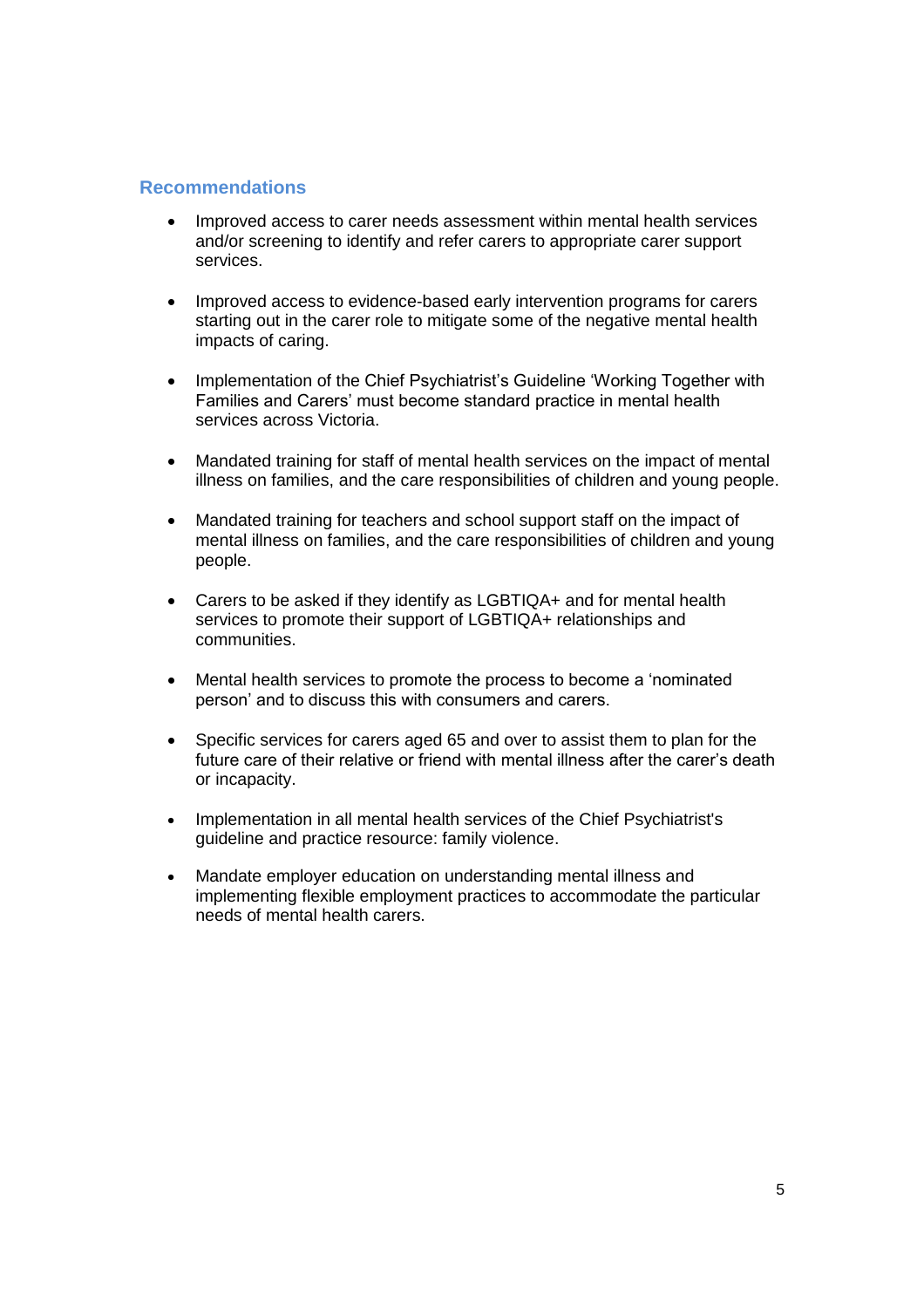## <span id="page-4-0"></span>**Recommendations**

- Improved access to carer needs assessment within mental health services and/or screening to identify and refer carers to appropriate carer support services.
- Improved access to evidence-based early intervention programs for carers starting out in the carer role to mitigate some of the negative mental health impacts of caring.
- Implementation of the Chief Psychiatrist's Guideline 'Working Together with Families and Carers' must become standard practice in mental health services across Victoria.
- Mandated training for staff of mental health services on the impact of mental illness on families, and the care responsibilities of children and young people.
- Mandated training for teachers and school support staff on the impact of mental illness on families, and the care responsibilities of children and young people.
- Carers to be asked if they identify as LGBTIQA+ and for mental health services to promote their support of LGBTIQA+ relationships and communities.
- Mental health services to promote the process to become a 'nominated person' and to discuss this with consumers and carers.
- Specific services for carers aged 65 and over to assist them to plan for the future care of their relative or friend with mental illness after the carer's death or incapacity.
- Implementation in all mental health services of the Chief Psychiatrist's guideline and practice resource: family violence.
- Mandate employer education on understanding mental illness and implementing flexible employment practices to accommodate the particular needs of mental health carers.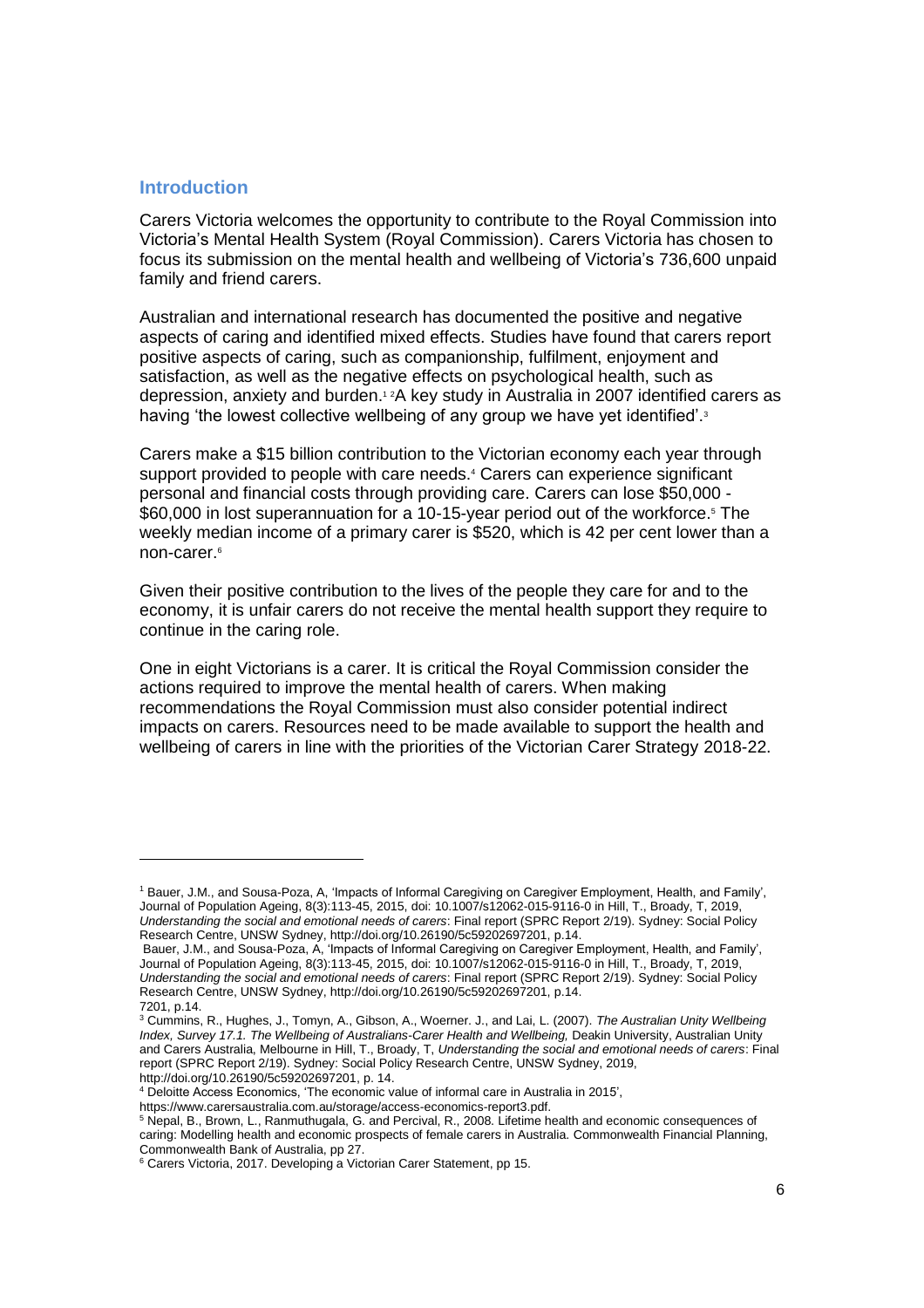#### <span id="page-5-0"></span>**Introduction**

 $\overline{a}$ 

Carers Victoria welcomes the opportunity to contribute to the Royal Commission into Victoria's Mental Health System (Royal Commission). Carers Victoria has chosen to focus its submission on the mental health and wellbeing of Victoria's 736,600 unpaid family and friend carers.

Australian and international research has documented the positive and negative aspects of caring and identified mixed effects. Studies have found that carers report positive aspects of caring, such as companionship, fulfilment, enjoyment and satisfaction, as well as the negative effects on psychological health, such as depression, anxiety and burden.<sup>1</sup> <sup>2</sup>A key study in Australia in 2007 identified carers as having 'the lowest collective wellbeing of any group we have yet identified'.<sup>3</sup>

Carers make a \$15 billion contribution to the Victorian economy each year through support provided to people with care needs.<sup>4</sup> Carers can experience significant personal and financial costs through providing care. Carers can lose \$50,000 - \$60,000 in lost superannuation for a 10-15-year period out of the workforce.<sup>5</sup> The weekly median income of a primary carer is \$520, which is 42 per cent lower than a non-carer.<sup>6</sup>

Given their positive contribution to the lives of the people they care for and to the economy, it is unfair carers do not receive the mental health support they require to continue in the caring role.

One in eight Victorians is a carer. It is critical the Royal Commission consider the actions required to improve the mental health of carers. When making recommendations the Royal Commission must also consider potential indirect impacts on carers. Resources need to be made available to support the health and wellbeing of carers in line with the priorities of the Victorian Carer Strategy 2018-22.

<sup>1</sup> Bauer, J.M., and Sousa-Poza, A, 'Impacts of Informal Caregiving on Caregiver Employment, Health, and Family', Journal of Population Ageing, 8(3):113-45, 2015, doi: 10.1007/s12062-015-9116-0 in Hill, T., Broady, T, 2019, *Understanding the social and emotional needs of carers*: Final report (SPRC Report 2/19). Sydney: Social Policy Research Centre, UNSW Sydney, http://doi.org/10.26190/5c59202697201, p.14.

Bauer, J.M., and Sousa-Poza, A, 'Impacts of Informal Caregiving on Caregiver Employment, Health, and Family', Journal of Population Ageing, 8(3):113-45, 2015, doi: 10.1007/s12062-015-9116-0 in Hill, T., Broady, T, 2019, *Understanding the social and emotional needs of carers*: Final report (SPRC Report 2/19). Sydney: Social Policy Research Centre, UNSW Sydney, http://doi.org/10.26190/5c59202697201, p.14. 7201, p.14.

<sup>3</sup> Cummins, R., Hughes, J., Tomyn, A., Gibson, A., Woerner. J., and Lai, L. (2007). *The Australian Unity Wellbeing Index, Survey 17.1. The Wellbeing of Australians*-*Carer Health and Wellbeing,* Deakin University, Australian Unity and Carers Australia, Melbourne in Hill, T., Broady, T, *Understanding the social and emotional needs of carers*: Final report (SPRC Report 2/19). Sydney: Social Policy Research Centre, UNSW Sydney, 2019, http://doi.org/10.26190/5c59202697201, p. 14.

<sup>4</sup> Deloitte Access Economics, 'The economic value of informal care in Australia in 2015',

https://www.carersaustralia.com.au/storage/access-economics-report3.pdf.

<sup>5</sup> Nepal, B., Brown, L., Ranmuthugala, G. and Percival, R., 2008. Lifetime health and economic consequences of caring: Modelling health and economic prospects of female carers in Australia. Commonwealth Financial Planning, Commonwealth Bank of Australia, pp 27.

<sup>&</sup>lt;sup>6</sup> Carers Victoria, 2017. Developing a Victorian Carer Statement, pp 15.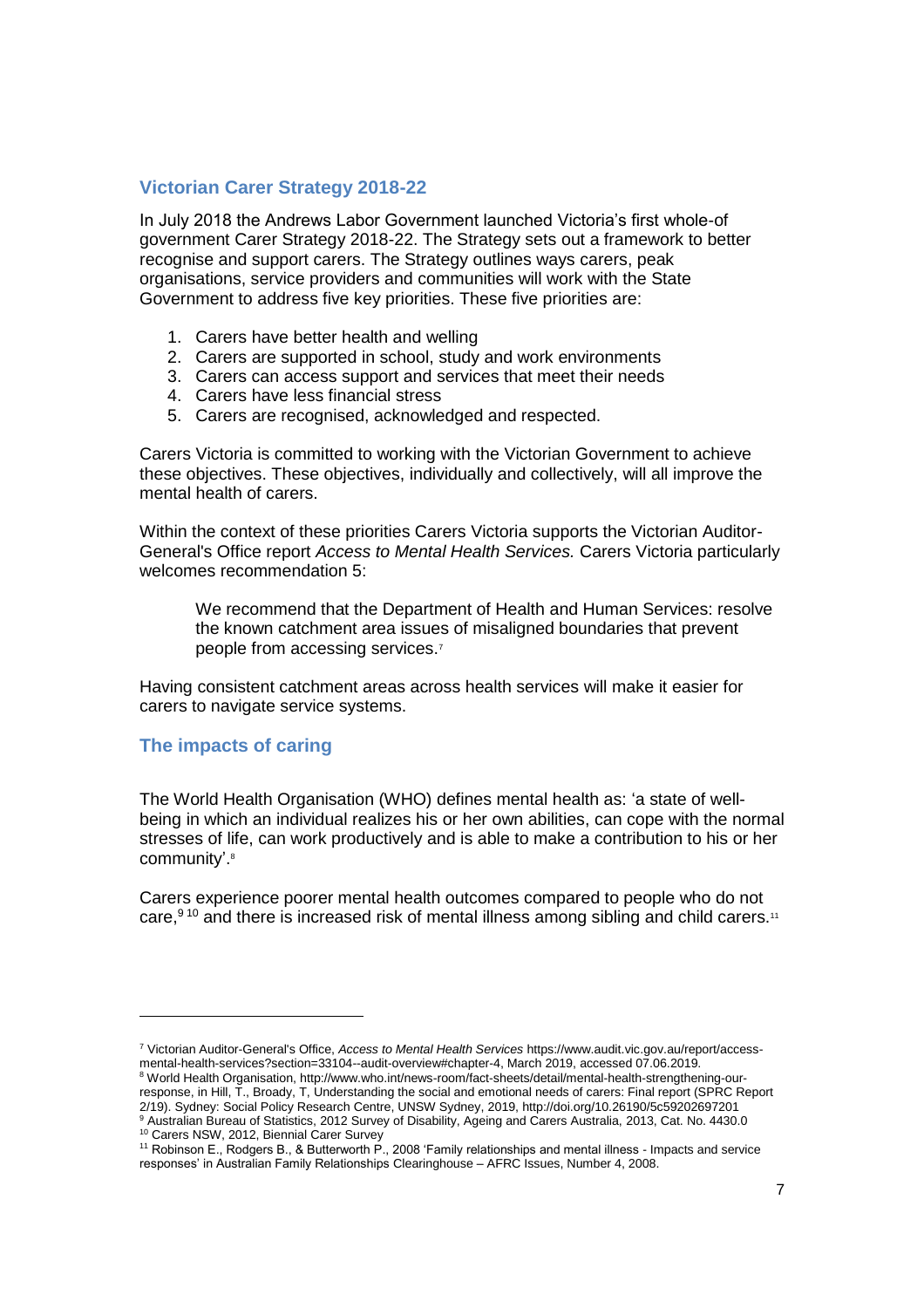# <span id="page-6-0"></span>**Victorian Carer Strategy 2018-22**

In July 2018 the Andrews Labor Government launched Victoria's first whole-of government Carer Strategy 2018-22. The Strategy sets out a framework to better recognise and support carers. The Strategy outlines ways carers, peak organisations, service providers and communities will work with the State Government to address five key priorities. These five priorities are:

- 1. Carers have better health and welling
- 2. Carers are supported in school, study and work environments
- 3. Carers can access support and services that meet their needs
- 4. Carers have less financial stress
- 5. Carers are recognised, acknowledged and respected.

Carers Victoria is committed to working with the Victorian Government to achieve these objectives. These objectives, individually and collectively, will all improve the mental health of carers.

Within the context of these priorities Carers Victoria supports the Victorian Auditor-General's Office report *Access to Mental Health Services.* Carers Victoria particularly welcomes recommendation 5:

We recommend that the Department of Health and Human Services: resolve the known catchment area issues of misaligned boundaries that prevent people from accessing services.<sup>7</sup>

Having consistent catchment areas across health services will make it easier for carers to navigate service systems.

#### <span id="page-6-1"></span>**The impacts of caring**

The World Health Organisation (WHO) defines mental health as: 'a state of wellbeing in which an individual realizes his or her own abilities, can cope with the normal stresses of life, can work productively and is able to make a contribution to his or her community'. 8

Carers experience poorer mental health outcomes compared to people who do not care, $9^{10}$  and there is increased risk of mental illness among sibling and child carers.<sup>11</sup>

l

<sup>7</sup> Victorian Auditor-General's Office, *Access to Mental Health Services* https://www.audit.vic.gov.au/report/accessmental-health-services?section=33104--audit-overview#chapter-4, March 2019, accessed 07.06.2019.

<sup>8</sup> World Health Organisation, http://www.who.int/news-room/fact-sheets/detail/mental-health-strengthening-ourresponse, in Hill, T., Broady, T, Understanding the social and emotional needs of carers: Final report (SPRC Report 2/19). Sydney: Social Policy Research Centre, UNSW Sydney, 2019, http://doi.org/10.26190/5c59202697201 <sup>9</sup> Australian Bureau of Statistics, 2012 Survey of Disability, Ageing and Carers Australia, 2013, Cat. No. 4430.0

<sup>10</sup> Carers NSW, 2012, Biennial Carer Survey

<sup>&</sup>lt;sup>11</sup> Robinson E., Rodgers B., & Butterworth P., 2008 'Family relationships and mental illness - Impacts and service responses' in Australian Family Relationships Clearinghouse – AFRC Issues, Number 4, 2008.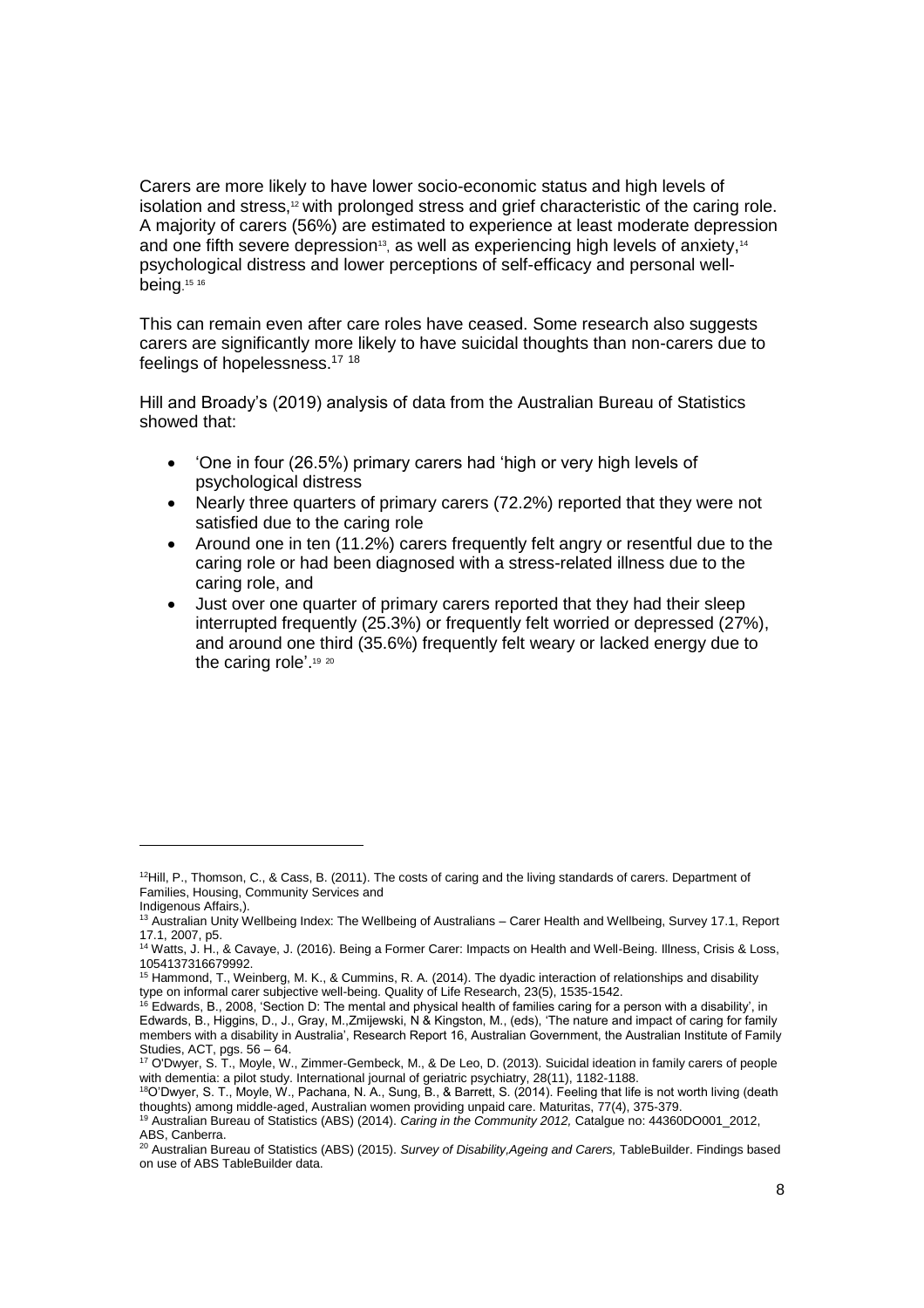Carers are more likely to have lower socio-economic status and high levels of isolation and stress, $12$  with prolonged stress and grief characteristic of the caring role. A majority of carers (56%) are estimated to experience at least moderate depression and one fifth severe depression<sup>13</sup>, as well as experiencing high levels of anxiety,<sup>14</sup> psychological distress and lower perceptions of self-efficacy and personal wellbeing. 15 16

This can remain even after care roles have ceased. Some research also suggests carers are significantly more likely to have suicidal thoughts than non-carers due to feelings of hopelessness.<sup>17</sup> <sup>18</sup>

Hill and Broady's (2019) analysis of data from the Australian Bureau of Statistics showed that:

- 'One in four (26.5%) primary carers had 'high or very high levels of psychological distress
- Nearly three quarters of primary carers (72.2%) reported that they were not satisfied due to the caring role
- Around one in ten (11.2%) carers frequently felt angry or resentful due to the caring role or had been diagnosed with a stress-related illness due to the caring role, and
- Just over one quarter of primary carers reported that they had their sleep interrupted frequently (25.3%) or frequently felt worried or depressed (27%), and around one third (35.6%) frequently felt weary or lacked energy due to the caring role'. 19 20

-

<sup>&</sup>lt;sup>12</sup>Hill, P., Thomson, C., & Cass, B. (2011). The costs of caring and the living standards of carers. Department of Families, Housing, Community Services and Indigenous Affairs,).

<sup>&</sup>lt;sup>13</sup> Australian Unity Wellbeing Index: The Wellbeing of Australians – Carer Health and Wellbeing, Survey 17.1, Report

<sup>17.1, 2007,</sup> p5. <sup>14</sup> Watts, J. H., & Cavaye, J. (2016). Being a Former Carer: Impacts on Health and Well-Being. Illness, Crisis & Loss, 1054137316679992.

<sup>15</sup> Hammond, T., Weinberg, M. K., & Cummins, R. A. (2014). The dyadic interaction of relationships and disability type on informal carer subjective well-being. Quality of Life Research, 23(5), 1535-1542.

 $16$  Edwards, B., 2008, 'Section D: The mental and physical health of families caring for a person with a disability', in Edwards, B., Higgins, D., J., Gray, M.,Zmijewski, N & Kingston, M., (eds), 'The nature and impact of caring for family members with a disability in Australia', Research Report 16, Australian Government, the Australian Institute of Family Studies, ACT, pgs. 56 – 64.

<sup>17</sup> O'Dwyer, S. T., Moyle, W., Zimmer-Gembeck, M., & De Leo, D. (2013). Suicidal ideation in family carers of people with dementia: a pilot study. International journal of geriatric psychiatry, 28(11), 1182-1188.

<sup>18</sup>O'Dwyer, S. T., Moyle, W., Pachana, N. A., Sung, B., & Barrett, S. (2014). Feeling that life is not worth living (death thoughts) among middle-aged, Australian women providing unpaid care. Maturitas, 77(4), 375-379.

<sup>19</sup> Australian Bureau of Statistics (ABS) (2014). *Caring in the Community 2012,* Catalgue no: 44360DO001\_2012, ABS, Canberra.

<sup>20</sup> Australian Bureau of Statistics (ABS) (2015). *Survey of Disability,Ageing and Carers,* TableBuilder. Findings based on use of ABS TableBuilder data.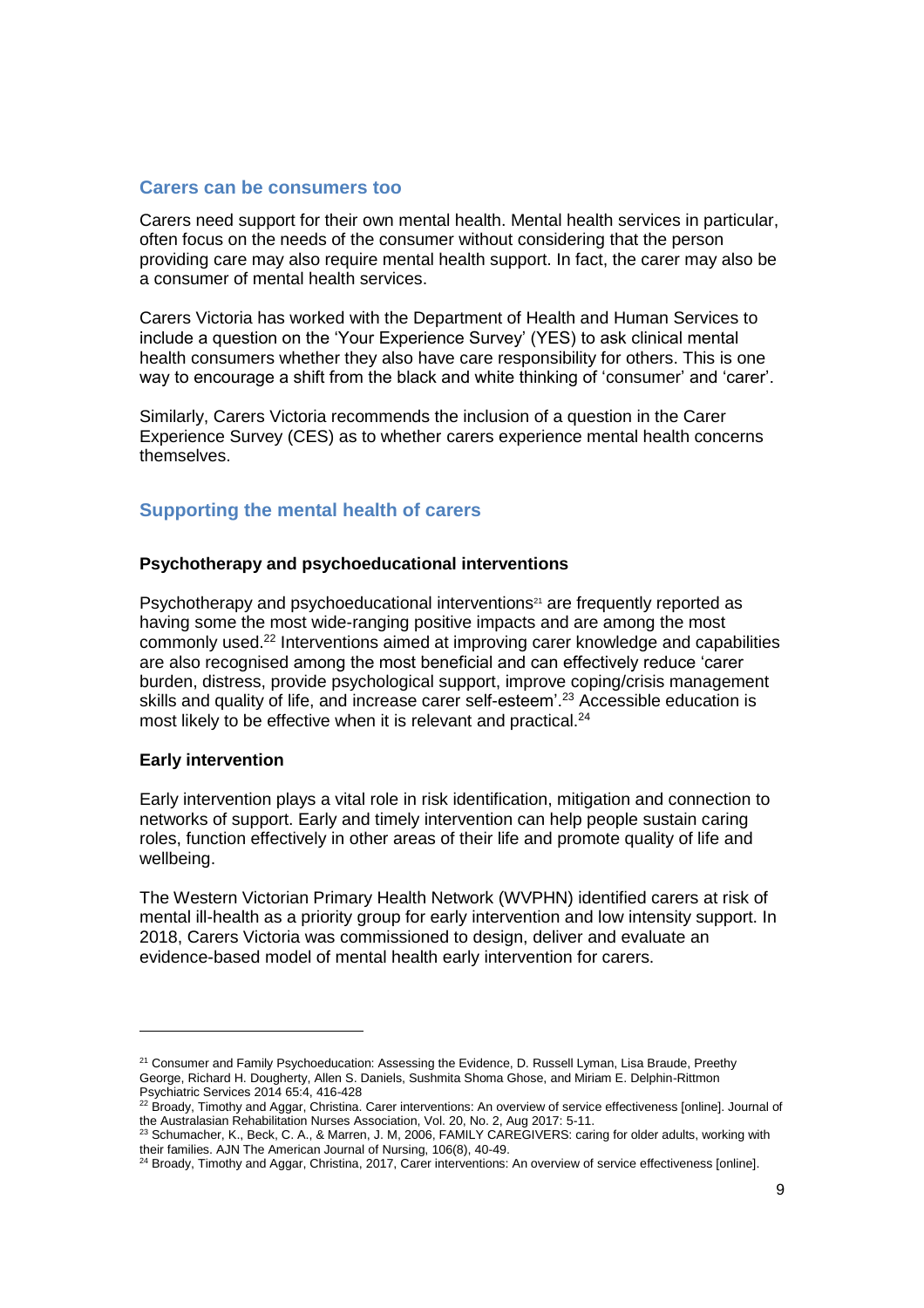## <span id="page-8-0"></span>**Carers can be consumers too**

Carers need support for their own mental health. Mental health services in particular, often focus on the needs of the consumer without considering that the person providing care may also require mental health support. In fact, the carer may also be a consumer of mental health services.

Carers Victoria has worked with the Department of Health and Human Services to include a question on the 'Your Experience Survey' (YES) to ask clinical mental health consumers whether they also have care responsibility for others. This is one way to encourage a shift from the black and white thinking of 'consumer' and 'carer'.

Similarly, Carers Victoria recommends the inclusion of a question in the Carer Experience Survey (CES) as to whether carers experience mental health concerns themselves.

# <span id="page-8-1"></span>**Supporting the mental health of carers**

#### **Psychotherapy and psychoeducational interventions**

Psychotherapy and psychoeducational interventions<sup>21</sup> are frequently reported as having some the most wide-ranging positive impacts and are among the most commonly used.<sup>22</sup> Interventions aimed at improving carer knowledge and capabilities are also recognised among the most beneficial and can effectively reduce 'carer burden, distress, provide psychological support, improve coping/crisis management skills and quality of life, and increase carer self-esteem'.<sup>23</sup> Accessible education is most likely to be effective when it is relevant and practical.<sup>24</sup>

#### **Early intervention**

 $\overline{a}$ 

Early intervention plays a vital role in risk identification, mitigation and connection to networks of support. Early and timely intervention can help people sustain caring roles, function effectively in other areas of their life and promote quality of life and wellbeing.

The Western Victorian Primary Health Network (WVPHN) identified carers at risk of mental ill-health as a priority group for early intervention and low intensity support. In 2018, Carers Victoria was commissioned to design, deliver and evaluate an evidence-based model of mental health early intervention for carers.

<sup>&</sup>lt;sup>21</sup> Consumer and Family Psychoeducation: Assessing the Evidence, D. Russell Lyman, Lisa Braude, Preethy George, Richard H. Dougherty, Allen S. Daniels, Sushmita Shoma Ghose, and Miriam E. Delphin-Rittmon Psychiatric Services 2014 65:4, 416-428

 $22$  Broady, Timothy and Aggar, Christina. Carer interventions: An overview of service effectiveness [online]. Journal of the Australasian Rehabilitation Nurses Association, Vol. 20, No. 2, Aug 2017: 5-11.

<sup>&</sup>lt;sup>23</sup> Schumacher, K., Beck, C. A., & Marren, J. M, 2006, FAMILY CAREGIVERS: caring for older adults, working with their families. AJN The American Journal of Nursing, 106(8), 40-49.

<sup>&</sup>lt;sup>24</sup> Broady, Timothy and Aggar, Christina, 2017, Carer interventions: An overview of service effectiveness [online].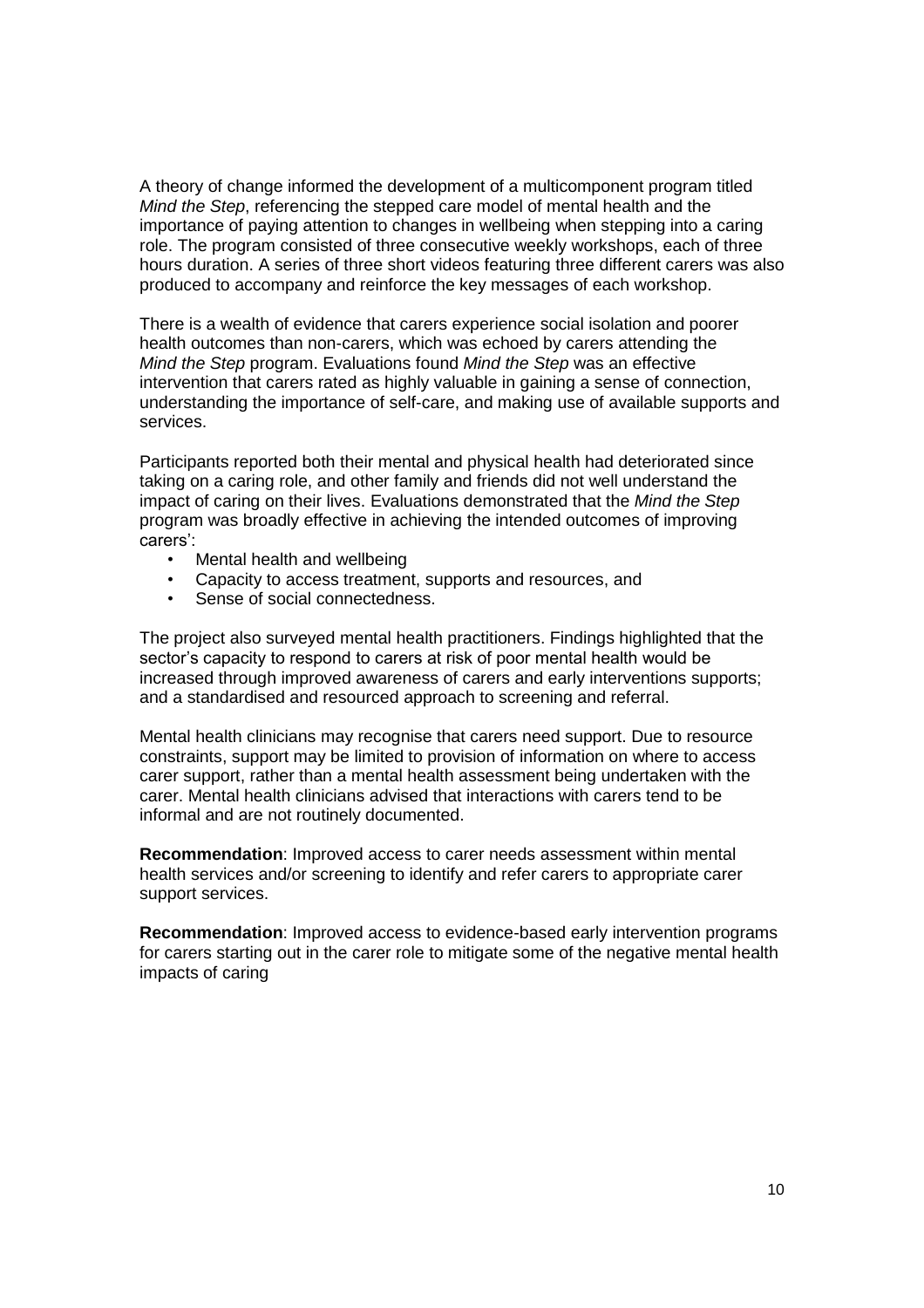A theory of change informed the development of a multicomponent program titled *Mind the Step*, referencing the stepped care model of mental health and the importance of paying attention to changes in wellbeing when stepping into a caring role. The program consisted of three consecutive weekly workshops, each of three hours duration. A series of three short videos featuring three different carers was also produced to accompany and reinforce the key messages of each workshop.

There is a wealth of evidence that carers experience social isolation and poorer health outcomes than non-carers, which was echoed by carers attending the *Mind the Step* program. Evaluations found *Mind the Step* was an effective intervention that carers rated as highly valuable in gaining a sense of connection, understanding the importance of self-care, and making use of available supports and services.

Participants reported both their mental and physical health had deteriorated since taking on a caring role, and other family and friends did not well understand the impact of caring on their lives. Evaluations demonstrated that the *Mind the Step*  program was broadly effective in achieving the intended outcomes of improving carers':

- Mental health and wellbeing
- Capacity to access treatment, supports and resources, and
- Sense of social connectedness.

The project also surveyed mental health practitioners. Findings highlighted that the sector's capacity to respond to carers at risk of poor mental health would be increased through improved awareness of carers and early interventions supports; and a standardised and resourced approach to screening and referral.

Mental health clinicians may recognise that carers need support. Due to resource constraints, support may be limited to provision of information on where to access carer support, rather than a mental health assessment being undertaken with the carer. Mental health clinicians advised that interactions with carers tend to be informal and are not routinely documented.

**Recommendation**: Improved access to carer needs assessment within mental health services and/or screening to identify and refer carers to appropriate carer support services.

**Recommendation**: Improved access to evidence-based early intervention programs for carers starting out in the carer role to mitigate some of the negative mental health impacts of caring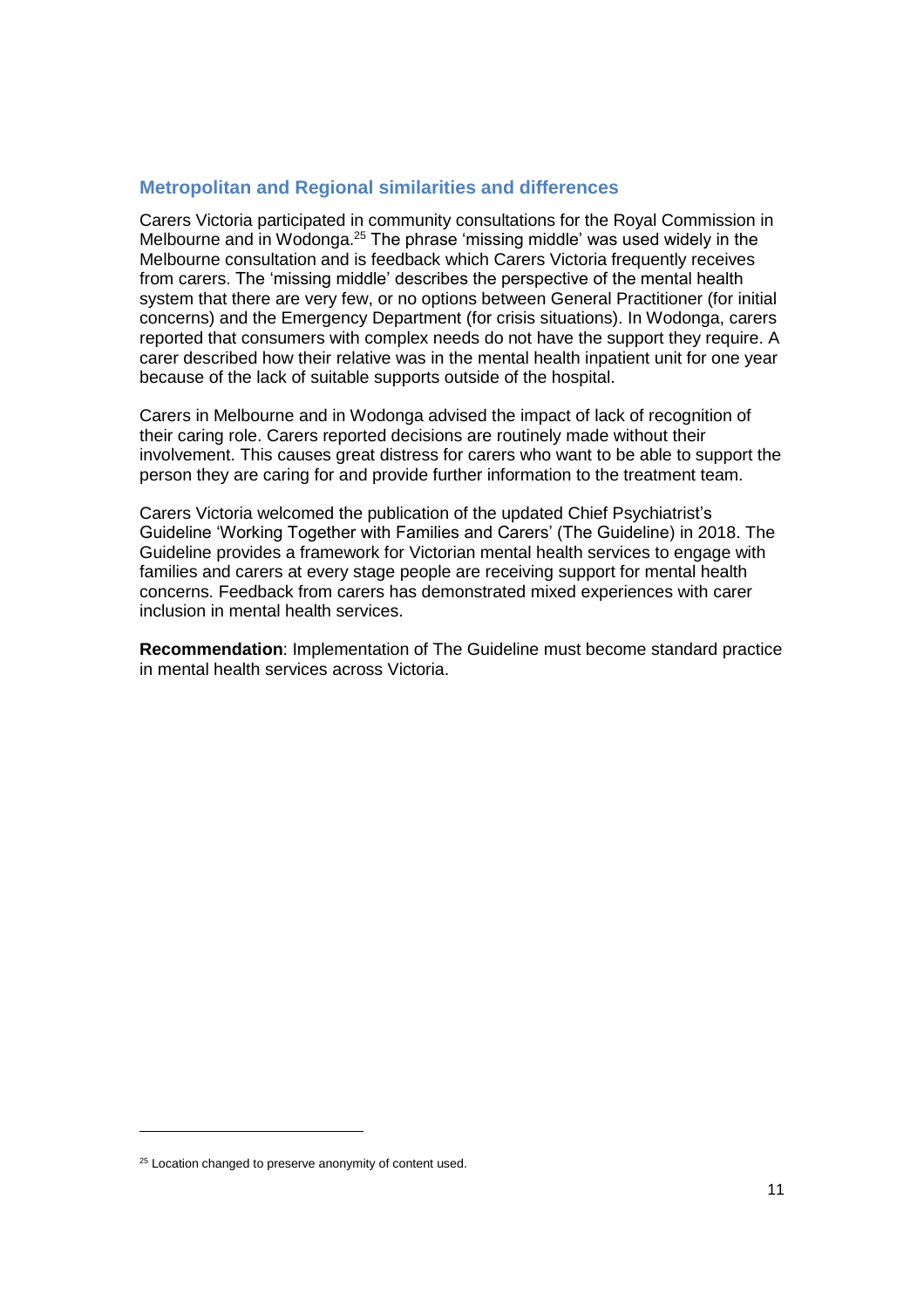# <span id="page-10-0"></span>**Metropolitan and Regional similarities and differences**

Carers Victoria participated in community consultations for the Royal Commission in Melbourne and in Wodonga. <sup>25</sup> The phrase 'missing middle' was used widely in the Melbourne consultation and is feedback which Carers Victoria frequently receives from carers. The 'missing middle' describes the perspective of the mental health system that there are very few, or no options between General Practitioner (for initial concerns) and the Emergency Department (for crisis situations). In Wodonga, carers reported that consumers with complex needs do not have the support they require. A carer described how their relative was in the mental health inpatient unit for one year because of the lack of suitable supports outside of the hospital.

Carers in Melbourne and in Wodonga advised the impact of lack of recognition of their caring role. Carers reported decisions are routinely made without their involvement. This causes great distress for carers who want to be able to support the person they are caring for and provide further information to the treatment team.

Carers Victoria welcomed the publication of the updated Chief Psychiatrist's Guideline 'Working Together with Families and Carers' (The Guideline) in 2018. The Guideline provides a framework for Victorian mental health services to engage with families and carers at every stage people are receiving support for mental health concerns. Feedback from carers has demonstrated mixed experiences with carer inclusion in mental health services.

**Recommendation**: Implementation of The Guideline must become standard practice in mental health services across Victoria.

 $\overline{a}$ 

<sup>&</sup>lt;sup>25</sup> Location changed to preserve anonymity of content used.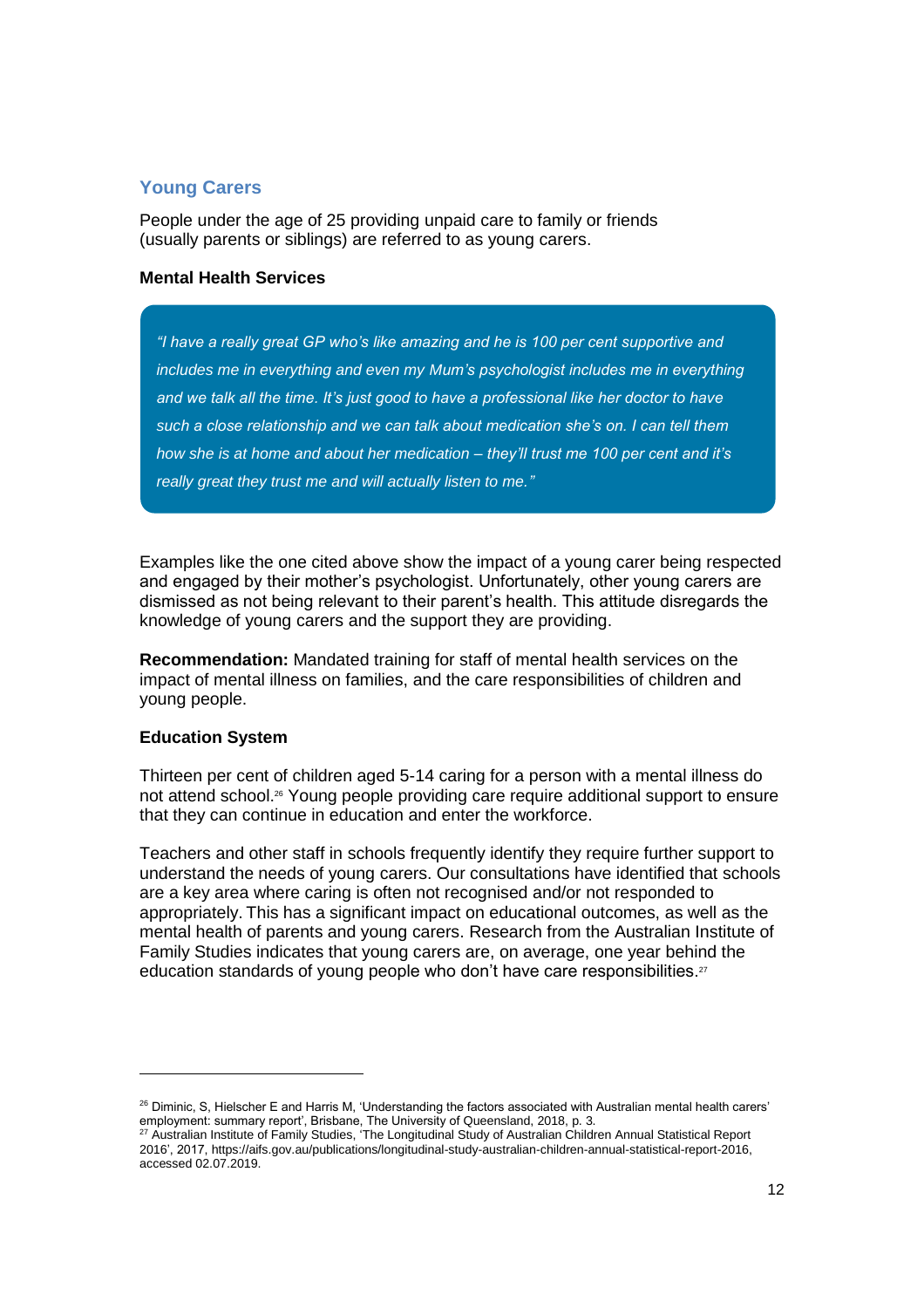# <span id="page-11-0"></span>**Young Carers**

People under the age of 25 providing unpaid care to family or friends (usually parents or siblings) are referred to as young carers.

## **Mental Health Services**

*"I have a really great GP who's like amazing and he is 100 per cent supportive and includes me in everything and even my Mum's psychologist includes me in everything and we talk all the time. It's just good to have a professional like her doctor to have such a close relationship and we can talk about medication she's on. I can tell them how she is at home and about her medication – they'll trust me 100 per cent and it's really great they trust me and will actually listen to me."*

Examples like the one cited above show the impact of a young carer being respected and engaged by their mother's psychologist. Unfortunately, other young carers are dismissed as not being relevant to their parent's health. This attitude disregards the knowledge of young carers and the support they are providing.

**Recommendation:** Mandated training for staff of mental health services on the impact of mental illness on families, and the care responsibilities of children and young people.

## **Education System**

l

Thirteen per cent of children aged 5-14 caring for a person with a mental illness do not attend school.<sup>26</sup> Young people providing care require additional support to ensure that they can continue in education and enter the workforce.

Teachers and other staff in schools frequently identify they require further support to understand the needs of young carers. Our consultations have identified that schools are a key area where caring is often not recognised and/or not responded to appropriately. This has a significant impact on educational outcomes, as well as the mental health of parents and young carers. Research from the Australian Institute of Family Studies indicates that young carers are, on average, one year behind the education standards of young people who don't have care responsibilities.<sup>27</sup>

<sup>&</sup>lt;sup>26</sup> Diminic, S, Hielscher E and Harris M, 'Understanding the factors associated with Australian mental health carers' employment: summary report', Brisbane, The University of Queensland, 2018, p. 3.

 $^{27}$  Australian Institute of Family Studies, 'The Longitudinal Study of Australian Children Annual Statistical Report 2016', 2017, https://aifs.gov.au/publications/longitudinal-study-australian-children-annual-statistical-report-2016, accessed 02.07.2019.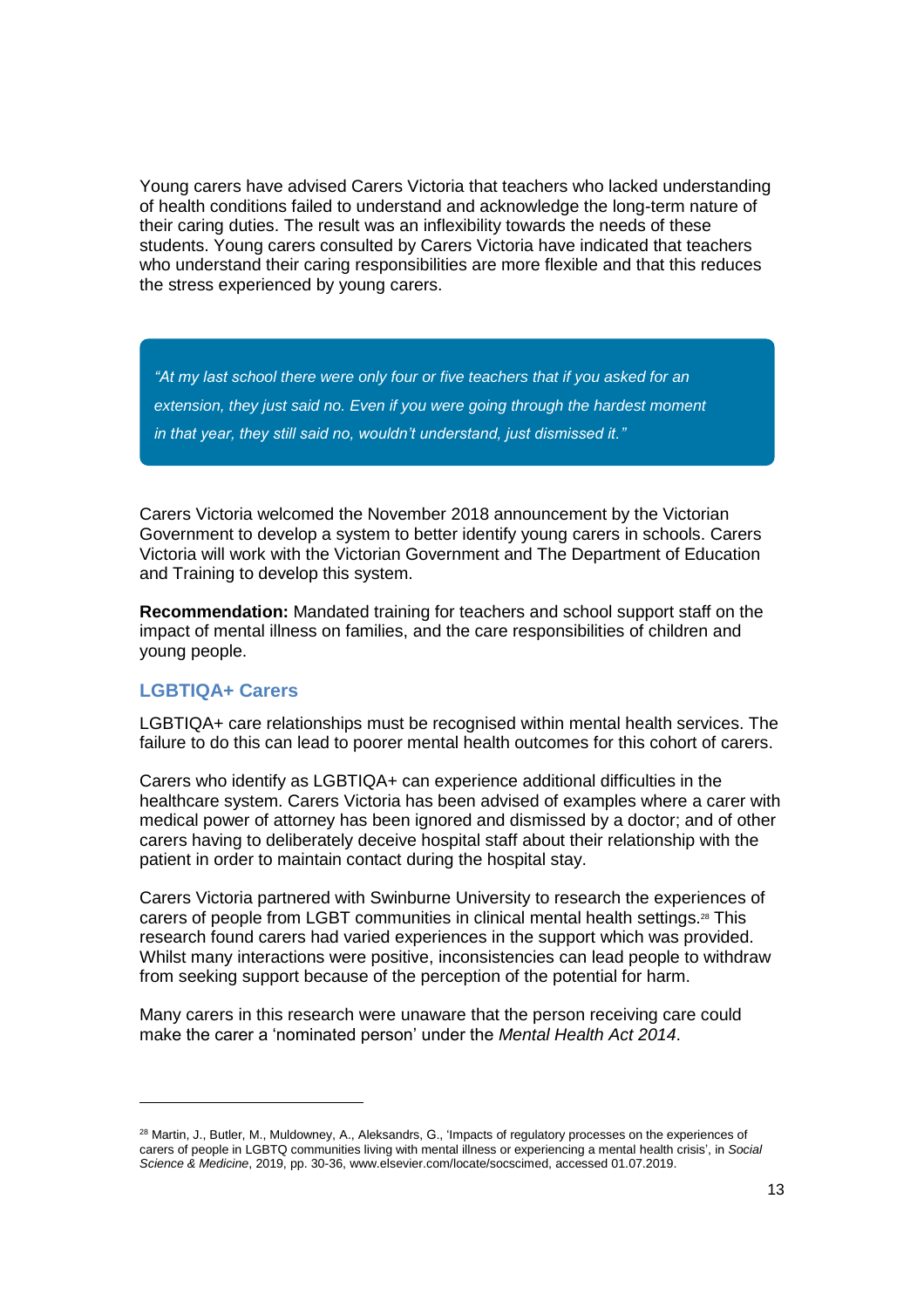Young carers have advised Carers Victoria that teachers who lacked understanding of health conditions failed to understand and acknowledge the long-term nature of their caring duties. The result was an inflexibility towards the needs of these students. Young carers consulted by Carers Victoria have indicated that teachers who understand their caring responsibilities are more flexible and that this reduces the stress experienced by young carers.

*"At my last school there were only four or five teachers that if you asked for an extension, they just said no. Even if you were going through the hardest moment in that year, they still said no, wouldn't understand, just dismissed it."*

Carers Victoria welcomed the November 2018 announcement by the Victorian Government to develop a system to better identify young carers in schools. Carers Victoria will work with the Victorian Government and The Department of Education and Training to develop this system.

**Recommendation:** Mandated training for teachers and school support staff on the impact of mental illness on families, and the care responsibilities of children and young people.

# <span id="page-12-0"></span>**LGBTIQA+ Carers**

l

LGBTIQA+ care relationships must be recognised within mental health services. The failure to do this can lead to poorer mental health outcomes for this cohort of carers.

Carers who identify as LGBTIQA+ can experience additional difficulties in the healthcare system. Carers Victoria has been advised of examples where a carer with medical power of attorney has been ignored and dismissed by a doctor; and of other carers having to deliberately deceive hospital staff about their relationship with the patient in order to maintain contact during the hospital stay.

Carers Victoria partnered with Swinburne University to research the experiences of carers of people from LGBT communities in clinical mental health settings.<sup>28</sup> This research found carers had varied experiences in the support which was provided. Whilst many interactions were positive, inconsistencies can lead people to withdraw from seeking support because of the perception of the potential for harm.

Many carers in this research were unaware that the person receiving care could make the carer a 'nominated person' under the *Mental Health Act 2014*.

<sup>&</sup>lt;sup>28</sup> Martin, J., Butler, M., Muldowney, A., Aleksandrs, G., 'Impacts of regulatory processes on the experiences of carers of people in LGBTQ communities living with mental illness or experiencing a mental health crisis', in *Social Science & Medicine*, 2019, pp. 30-36, www.elsevier.com/locate/socscimed, accessed 01.07.2019.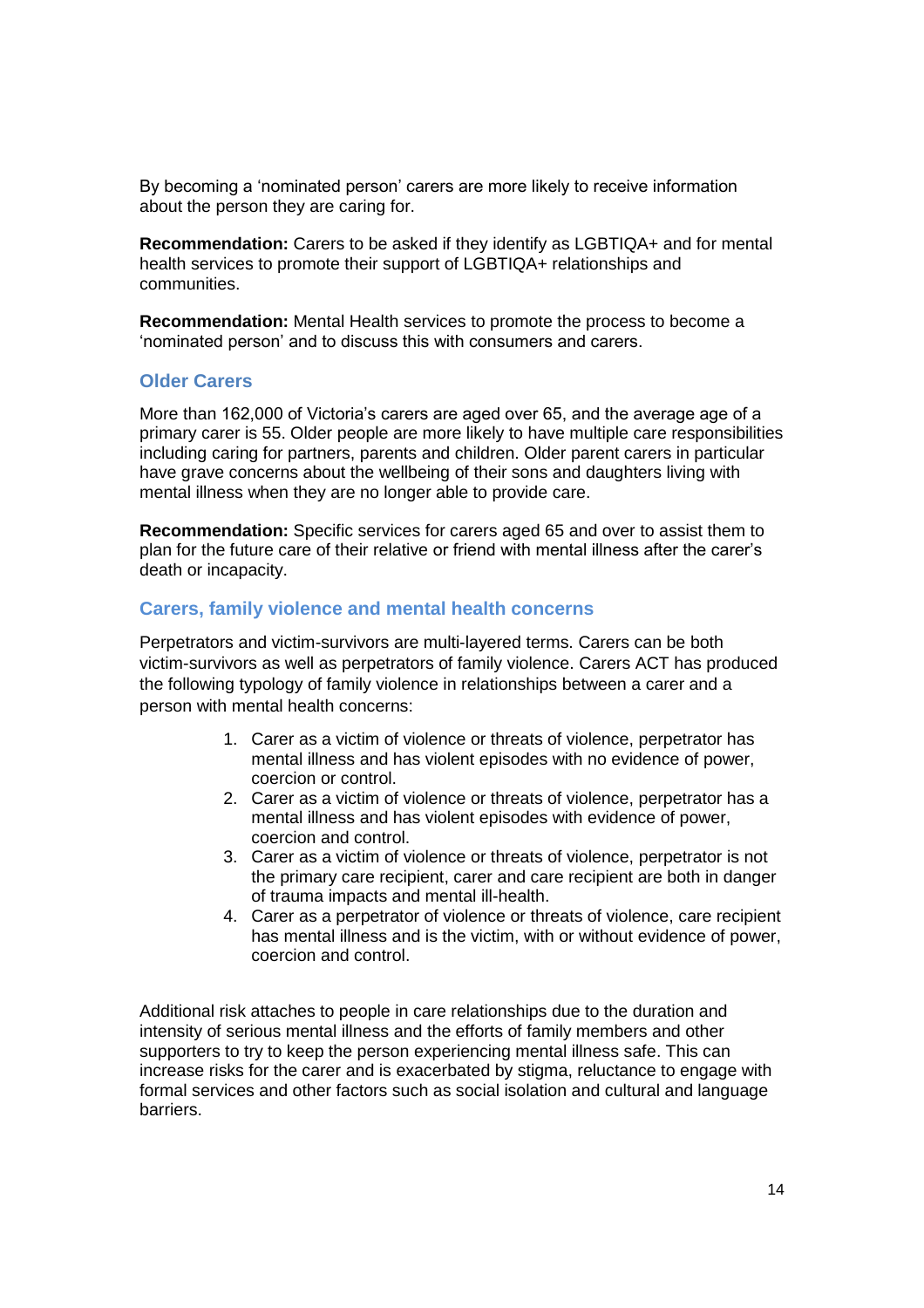By becoming a 'nominated person' carers are more likely to receive information about the person they are caring for.

**Recommendation:** Carers to be asked if they identify as LGBTIQA+ and for mental health services to promote their support of LGBTIQA+ relationships and communities.

**Recommendation:** Mental Health services to promote the process to become a 'nominated person' and to discuss this with consumers and carers.

## <span id="page-13-0"></span>**Older Carers**

More than 162,000 of Victoria's carers are aged over 65, and the average age of a primary carer is 55. Older people are more likely to have multiple care responsibilities including caring for partners, parents and children. Older parent carers in particular have grave concerns about the wellbeing of their sons and daughters living with mental illness when they are no longer able to provide care.

**Recommendation:** Specific services for carers aged 65 and over to assist them to plan for the future care of their relative or friend with mental illness after the carer's death or incapacity.

# <span id="page-13-1"></span>**Carers, family violence and mental health concerns**

Perpetrators and victim-survivors are multi-layered terms. Carers can be both victim-survivors as well as perpetrators of family violence. Carers ACT has produced the following typology of family violence in relationships between a carer and a person with mental health concerns:

- 1. Carer as a victim of violence or threats of violence, perpetrator has mental illness and has violent episodes with no evidence of power, coercion or control.
- 2. Carer as a victim of violence or threats of violence, perpetrator has a mental illness and has violent episodes with evidence of power, coercion and control.
- 3. Carer as a victim of violence or threats of violence, perpetrator is not the primary care recipient, carer and care recipient are both in danger of trauma impacts and mental ill-health.
- 4. Carer as a perpetrator of violence or threats of violence, care recipient has mental illness and is the victim, with or without evidence of power, coercion and control.

Additional risk attaches to people in care relationships due to the duration and intensity of serious mental illness and the efforts of family members and other supporters to try to keep the person experiencing mental illness safe. This can increase risks for the carer and is exacerbated by stigma, reluctance to engage with formal services and other factors such as social isolation and cultural and language barriers.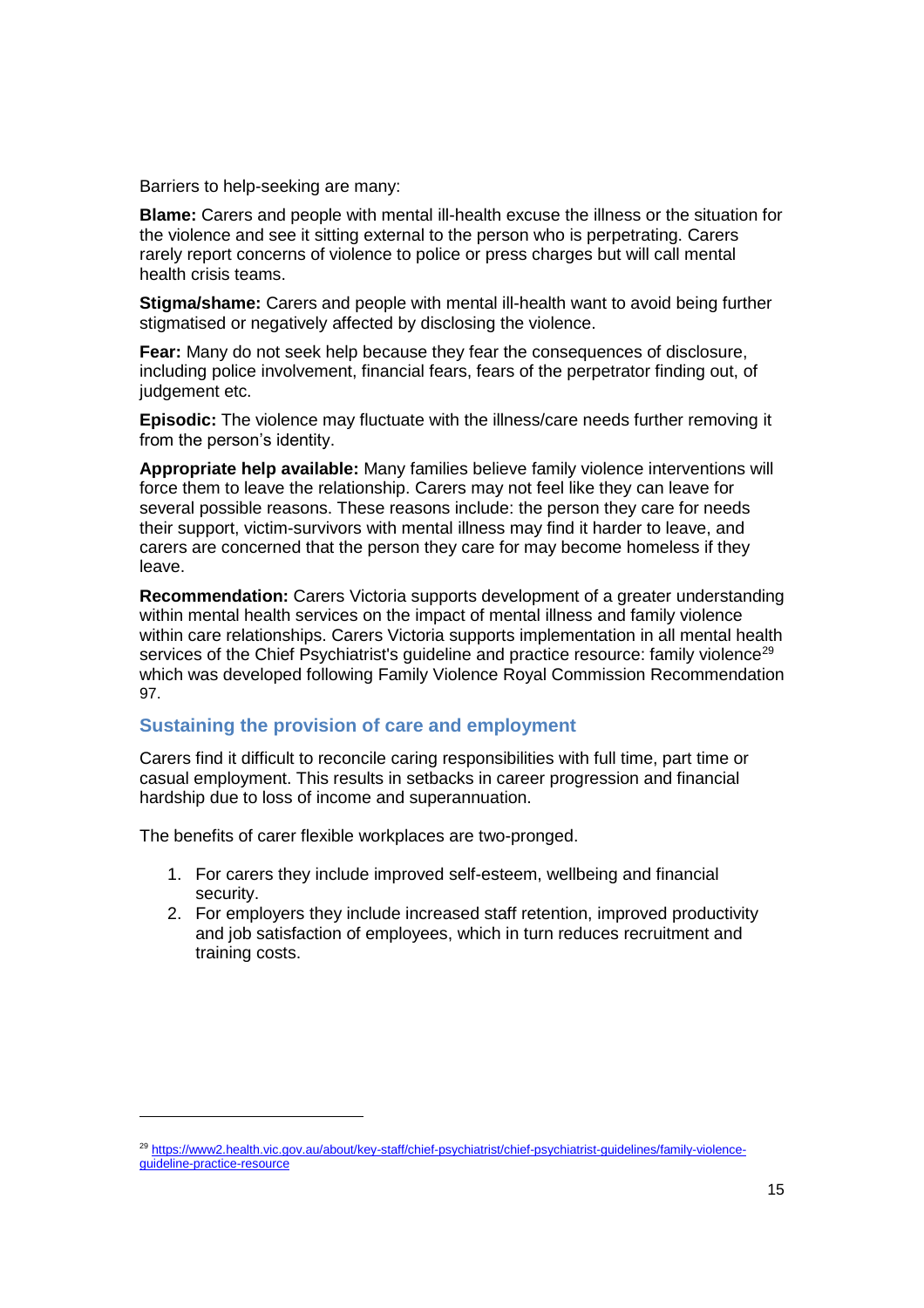Barriers to help-seeking are many:

**Blame:** Carers and people with mental ill-health excuse the illness or the situation for the violence and see it sitting external to the person who is perpetrating. Carers rarely report concerns of violence to police or press charges but will call mental health crisis teams.

**Stigma/shame:** Carers and people with mental ill-health want to avoid being further stigmatised or negatively affected by disclosing the violence.

**Fear:** Many do not seek help because they fear the consequences of disclosure, including police involvement, financial fears, fears of the perpetrator finding out, of judgement etc.

**Episodic:** The violence may fluctuate with the illness/care needs further removing it from the person's identity.

**Appropriate help available:** Many families believe family violence interventions will force them to leave the relationship. Carers may not feel like they can leave for several possible reasons. These reasons include: the person they care for needs their support, victim-survivors with mental illness may find it harder to leave, and carers are concerned that the person they care for may become homeless if they leave.

**Recommendation:** Carers Victoria supports development of a greater understanding within mental health services on the impact of mental illness and family violence within care relationships. Carers Victoria supports implementation in all mental health services of the Chief Psychiatrist's quideline and practice resource: family violence<sup>29</sup> which was developed following Family Violence Royal Commission Recommendation 97.

## <span id="page-14-0"></span>**Sustaining the provision of care and employment**

Carers find it difficult to reconcile caring responsibilities with full time, part time or casual employment. This results in setbacks in career progression and financial hardship due to loss of income and superannuation.

The benefits of carer flexible workplaces are two-pronged.

 $\overline{a}$ 

- 1. For carers they include improved self-esteem, wellbeing and financial security.
- 2. For employers they include increased staff retention, improved productivity and job satisfaction of employees, which in turn reduces recruitment and training costs.

<sup>&</sup>lt;sup>29</sup> [https://www2.health.vic.gov.au/about/key-staff/chief-psychiatrist/chief-psychiatrist-guidelines/family-violence](https://www2.health.vic.gov.au/about/key-staff/chief-psychiatrist/chief-psychiatrist-guidelines/family-violence-guideline-practice-resource)[guideline-practice-resource](https://www2.health.vic.gov.au/about/key-staff/chief-psychiatrist/chief-psychiatrist-guidelines/family-violence-guideline-practice-resource)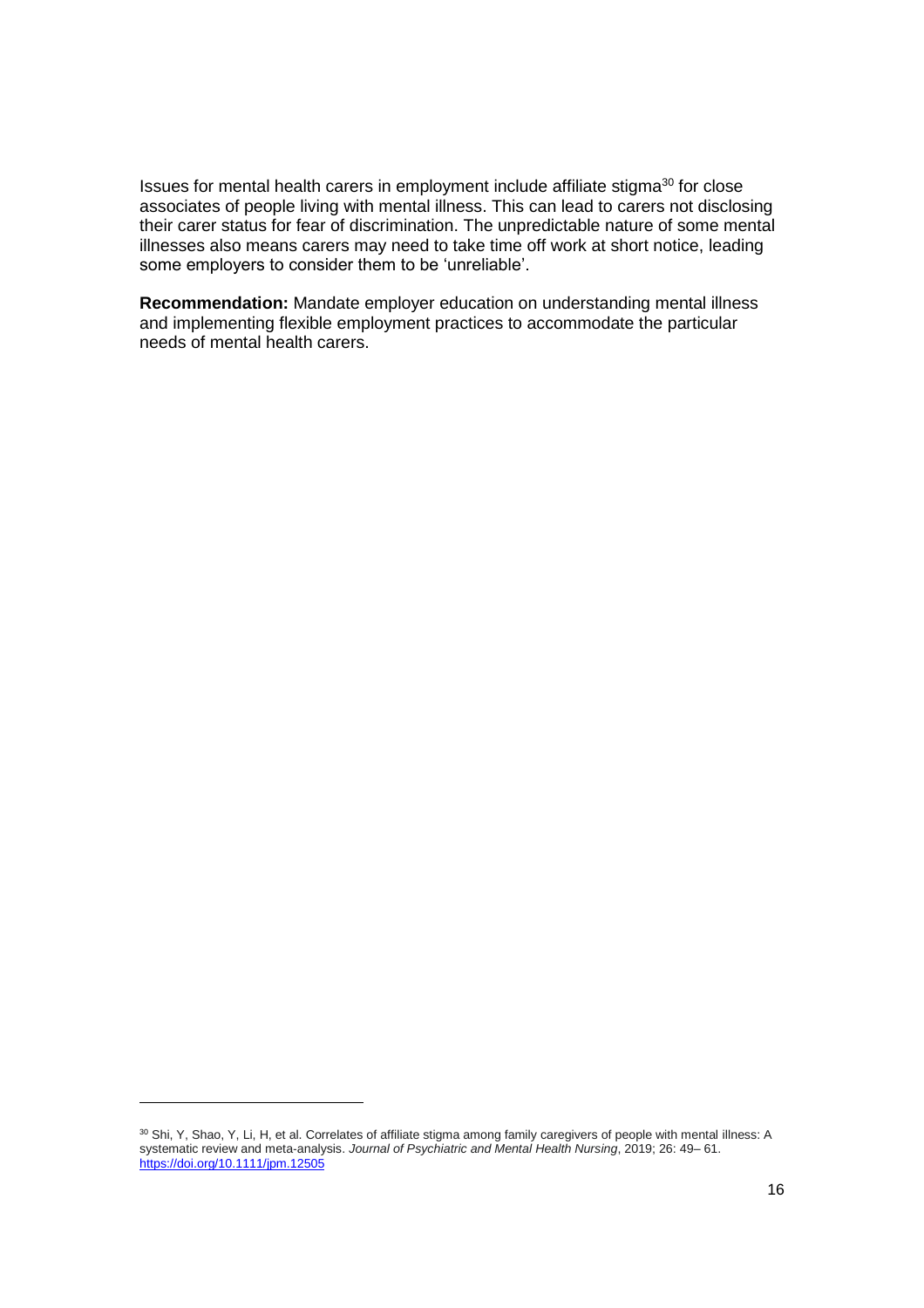Issues for mental health carers in employment include affiliate stigma<sup>30</sup> for close associates of people living with mental illness. This can lead to carers not disclosing their carer status for fear of discrimination. The unpredictable nature of some mental illnesses also means carers may need to take time off work at short notice, leading some employers to consider them to be 'unreliable'.

**Recommendation:** Mandate employer education on understanding mental illness and implementing flexible employment practices to accommodate the particular needs of mental health carers.

l

<sup>30</sup> Shi, Y, Shao, Y, Li, H, et al. Correlates of affiliate stigma among family caregivers of people with mental illness: A systematic review and meta‐analysis. *Journal of Psychiatric and Mental Health Nursing*, 2019; 26: 49– 61. <https://doi.org/10.1111/jpm.12505>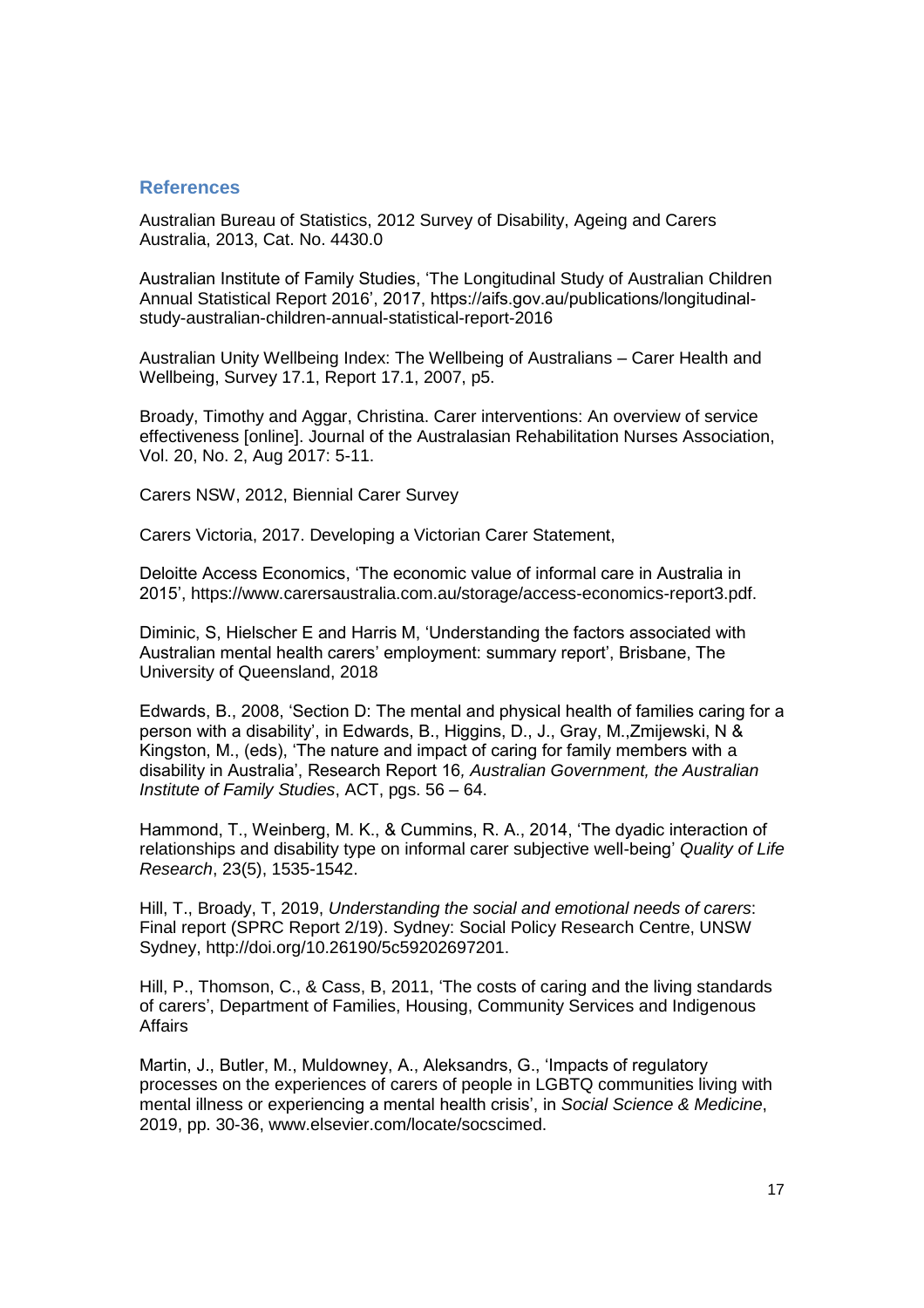## <span id="page-16-0"></span>**References**

Australian Bureau of Statistics, 2012 Survey of Disability, Ageing and Carers Australia, 2013, Cat. No. 4430.0

Australian Institute of Family Studies, 'The Longitudinal Study of Australian Children Annual Statistical Report 2016', 2017, https://aifs.gov.au/publications/longitudinalstudy-australian-children-annual-statistical-report-2016

Australian Unity Wellbeing Index: The Wellbeing of Australians – Carer Health and Wellbeing, Survey 17.1, Report 17.1, 2007, p5.

Broady, Timothy and Aggar, Christina. Carer interventions: An overview of service effectiveness [online]. Journal of the Australasian Rehabilitation Nurses Association, Vol. 20, No. 2, Aug 2017: 5-11.

Carers NSW, 2012, Biennial Carer Survey

Carers Victoria, 2017. Developing a Victorian Carer Statement,

Deloitte Access Economics, 'The economic value of informal care in Australia in 2015', https://www.carersaustralia.com.au/storage/access-economics-report3.pdf.

Diminic, S, Hielscher E and Harris M, 'Understanding the factors associated with Australian mental health carers' employment: summary report', Brisbane, The University of Queensland, 2018

Edwards, B., 2008, 'Section D: The mental and physical health of families caring for a person with a disability', in Edwards, B., Higgins, D., J., Gray, M.,Zmijewski, N & Kingston, M., (eds), 'The nature and impact of caring for family members with a disability in Australia', Research Report 16*, Australian Government, the Australian Institute of Family Studies*, ACT, pgs. 56 – 64.

Hammond, T., Weinberg, M. K., & Cummins, R. A., 2014, 'The dyadic interaction of relationships and disability type on informal carer subjective well-being' *Quality of Life Research*, 23(5), 1535-1542.

Hill, T., Broady, T, 2019, *Understanding the social and emotional needs of carers*: Final report (SPRC Report 2/19). Sydney: Social Policy Research Centre, UNSW Sydney, http://doi.org/10.26190/5c59202697201.

Hill, P., Thomson, C., & Cass, B, 2011, 'The costs of caring and the living standards of carers', Department of Families, Housing, Community Services and Indigenous Affairs

Martin, J., Butler, M., Muldowney, A., Aleksandrs, G., 'Impacts of regulatory processes on the experiences of carers of people in LGBTQ communities living with mental illness or experiencing a mental health crisis', in *Social Science & Medicine*, 2019, pp. 30-36, www.elsevier.com/locate/socscimed.